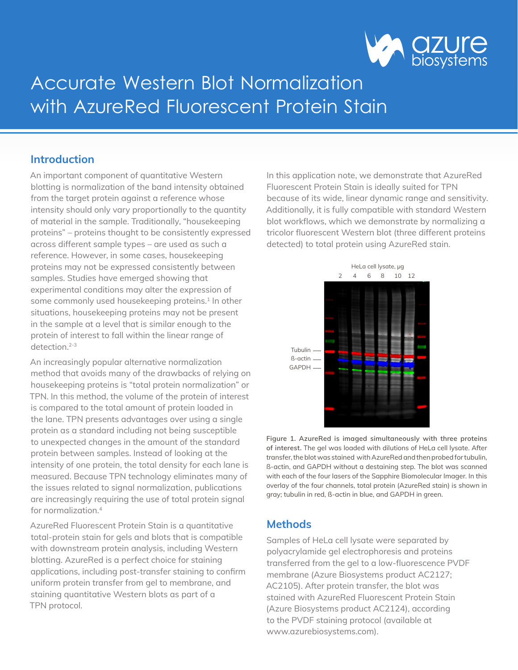

# Accurate Western Blot Normalization with AzureRed Fluorescent Protein Stain

## **Introduction**

An important component of quantitative Western blotting is normalization of the band intensity obtained from the target protein against a reference whose intensity should only vary proportionally to the quantity of material in the sample. Traditionally, "housekeeping proteins" – proteins thought to be consistently expressed across different sample types – are used as such a reference. However, in some cases, housekeeping proteins may not be expressed consistently between samples. Studies have emerged showing that experimental conditions may alter the expression of some commonly used housekeeping proteins.<sup>1</sup> In other situations, housekeeping proteins may not be present in the sample at a level that is similar enough to the protein of interest to fall within the linear range of detection<sup>2-3</sup>

An increasingly popular alternative normalization method that avoids many of the drawbacks of relying on housekeeping proteins is "total protein normalization" or TPN. In this method, the volume of the protein of interest is compared to the total amount of protein loaded in the lane. TPN presents advantages over using a single protein as a standard including not being susceptible to unexpected changes in the amount of the standard protein between samples. Instead of looking at the intensity of one protein, the total density for each lane is measured. Because TPN technology eliminates many of the issues related to signal normalization, publications are increasingly requiring the use of total protein signal for normalization<sup>4</sup>

AzureRed Fluorescent Protein Stain is a quantitative total-protein stain for gels and blots that is compatible with downstream protein analysis, including Western blotting. AzureRed is a perfect choice for staining applications, including post-transfer staining to confirm uniform protein transfer from gel to membrane, and staining quantitative Western blots as part of a TPN protocol.

In this application note, we demonstrate that AzureRed Fluorescent Protein Stain is ideally suited for TPN because of its wide, linear dynamic range and sensitivity. Additionally, it is fully compatible with standard Western blot workflows, which we demonstrate by normalizing a tricolor fluorescent Western blot (three different proteins detected) to total protein using AzureRed stain.



**Figure 1. AzureRed is imaged simultaneously with three proteins of interest.** The gel was loaded with dilutions of HeLa cell lysate. After transfer, the blot was stained with AzureRed and then probed for tubulin, ß-actin, and GAPDH without a destaining step. The blot was scanned with each of the four lasers of the Sapphire Biomolecular Imager. In this overlay of the four channels, total protein (AzureRed stain) is shown in gray; tubulin in red, ß-actin in blue, and GAPDH in green.

# **Methods**

Samples of HeLa cell lysate were separated by polyacrylamide gel electrophoresis and proteins transferred from the gel to a low-fluorescence PVDF membrane (Azure Biosystems product AC2127; AC2105). After protein transfer, the blot was stained with AzureRed Fluorescent Protein Stain (Azure Biosystems product AC2124), according to the PVDF staining protocol (available at www.azurebiosystems.com).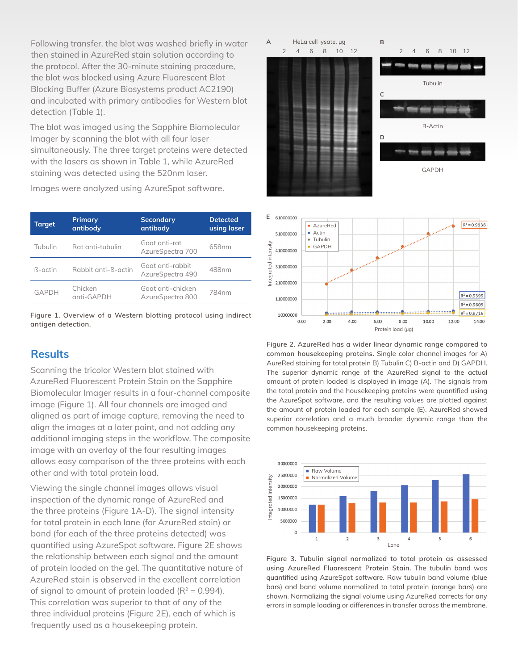Following transfer, the blot was washed briefly in water then stained in AzureRed stain solution according to the protocol. After the 30-minute staining procedure, the blot was blocked using Azure Fluorescent Blot Blocking Buffer (Azure Biosystems product AC2190) and incubated with primary antibodies for Western blot detection (Table 1).

The blot was imaged using the Sapphire Biomolecular Imager by scanning the blot with all four laser simultaneously. The three target proteins were detected with the lasers as shown in Table 1, while AzureRed staining was detected using the 520nm laser.

Images were analyzed using AzureSpot software.

| <b>Target</b> | <b>Primary</b><br>antibody | <b>Secondary</b><br>antibody          | <b>Detected</b><br>using laser |
|---------------|----------------------------|---------------------------------------|--------------------------------|
| Tubulin       | Rat anti-tubulin           | Goat anti-rat<br>AzureSpectra 700     | 658nm                          |
| ß-actin       | Rabbit anti-B-actin        | Goat anti-rabbit<br>AzureSpectra 490  | 488nm                          |
| <b>GAPDH</b>  | Chicken<br>anti-GAPDH      | Goat anti-chicken<br>AzureSpectra 800 | 784nm                          |



### **Results**

Scanning the tricolor Western blot stained with AzureRed Fluorescent Protein Stain on the Sapphire Biomolecular Imager results in a four-channel composite image (Figure 1). All four channels are imaged and aligned as part of image capture, removing the need to align the images at a later point, and not adding any additional imaging steps in the workflow. The composite image with an overlay of the four resulting images allows easy comparison of the three proteins with each other and with total protein load.

Viewing the single channel images allows visual inspection of the dynamic range of AzureRed and the three proteins (Figure 1A-D). The signal intensity for total protein in each lane (for AzureRed stain) or band (for each of the three proteins detected) was quantified using AzureSpot software. Figure 2E shows the relationship between each signal and the amount of protein loaded on the gel. The quantitative nature of AzureRed stain is observed in the excellent correlation of signal to amount of protein loaded ( $R^2$  = 0.994). This correlation was superior to that of any of the three individual proteins (Figure 2E), each of which is frequently used as a housekeeping protein.





**Figure 2. AzureRed has a wider linear dynamic range compared to common housekeeping proteins.** Single color channel images for A) AureRed staining for total protein B) Tubulin C) B-actin and D) GAPDH. The superior dynamic range of the AzureRed signal to the actual amount of protein loaded is displayed in image (A). The signals from the total protein and the housekeeping proteins were quantified using the AzureSpot software, and the resulting values are plotted against the amount of protein loaded for each sample (E). AzureRed showed superior correlation and a much broader dynamic range than the common housekeeping proteins.



**Figure 3. Tubulin signal normalized to total protein as assessed using AzureRed Fluorescent Protein Stain.** The tubulin band was quantified using AzureSpot software. Raw tubulin band volume (blue bars) and band volume normalized to total protein (orange bars) are shown. Normalizing the signal volume using AzureRed corrects for any errors in sample loading or differences in transfer across the membrane.